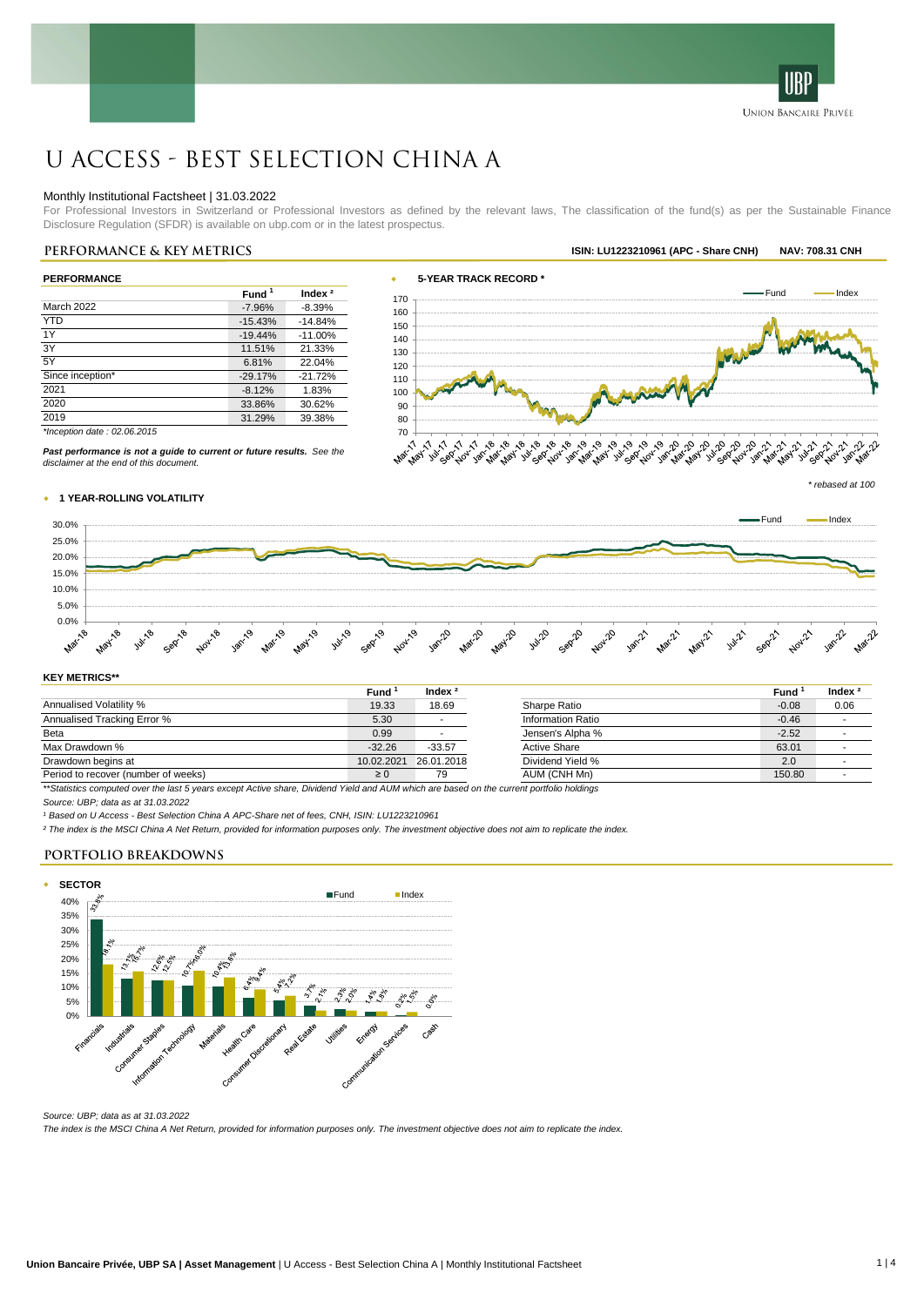

# U Access - Best Selection China A

#### Monthly Institutional Factsheet | 31.03.2022

For Professional Investors in Switzerland or Professional Investors as defined by the relevant laws, The classification of the fund(s) as per the Sustainable Finance Disclosure Regulation (SFDR) is available on ubp.com or in the latest prospectus.

| <b>PERFORMANCE</b>            |                   |           |  |  |  |  |
|-------------------------------|-------------------|-----------|--|--|--|--|
|                               | Fund <sup>1</sup> | Index $2$ |  |  |  |  |
| March 2022                    | $-7.96%$          | $-8.39%$  |  |  |  |  |
| <b>YTD</b>                    | $-15.43%$         | $-14.84%$ |  |  |  |  |
| 1Y                            | $-19.44%$         | $-11.00%$ |  |  |  |  |
| 3Y                            | 11.51%            | 21.33%    |  |  |  |  |
| 5Y                            | 6.81%             | 22.04%    |  |  |  |  |
| Since inception*              | $-29.17%$         | $-21.72%$ |  |  |  |  |
| 2021                          | $-8.12%$          | 1.83%     |  |  |  |  |
| 2020                          | 33.86%            | 30.62%    |  |  |  |  |
| 2019                          | 31.29%            | 39.38%    |  |  |  |  |
| *Inception date: $02.06.2015$ |                   |           |  |  |  |  |



*Past performance is not a guide to current or future results. See the disclaimer at the end of this document.*



#### w **1 YEAR-ROLLING VOLATILITY**



#### **KEY METRICS\*\***

|                                                                                                                                    | Fund       | Index $2$  |                     | Fund    | Index |
|------------------------------------------------------------------------------------------------------------------------------------|------------|------------|---------------------|---------|-------|
| Annualised Volatility %                                                                                                            | 19.33      | 18.69      | Sharpe Ratio        | $-0.08$ | 0.06  |
| Annualised Tracking Error %                                                                                                        | 5.30       |            | Information Ratio   | $-0.46$ |       |
| Beta                                                                                                                               | 0.99       |            | Jensen's Alpha %    | $-2.52$ |       |
| Max Drawdown %                                                                                                                     | $-32.26$   | $-33.57$   | <b>Active Share</b> | 63.01   |       |
| Drawdown begins at                                                                                                                 | 10.02.2021 | 26.01.2018 | Dividend Yield %    | 2.0     |       |
| Period to recover (number of weeks)                                                                                                | $\geq 0$   | 79         | AUM (CNH Mn)        | 150.80  |       |
| tt Challaba aguachtad guardha lagt Eugan guard Ashin aban - Dhiddayd Wald and ALB unbigh ang bagad an tha gunnat nautalig baldinga |            |            |                     |         |       |

*\*\*Statistics computed over the last 5 years except Active share, Dividend Yield and AUM which are based on the current portfolio holdings*

*Source: UBP; data as at 31.03.2022*

*¹ Based on U Access - Best Selection China A APC-Share net of fees, CNH, ISIN: LU1223210961*

*² The index is the MSCI China A Net Return, provided for information purposes only. The investment objective does not aim to replicate the index.*

#### **PORTFOLIO BREAKDOWNS**



*Source: UBP; data as at 31.03.2022 The index is the MSCI China A Net Return, provided for information purposes only. The investment objective does not aim to replicate the index.*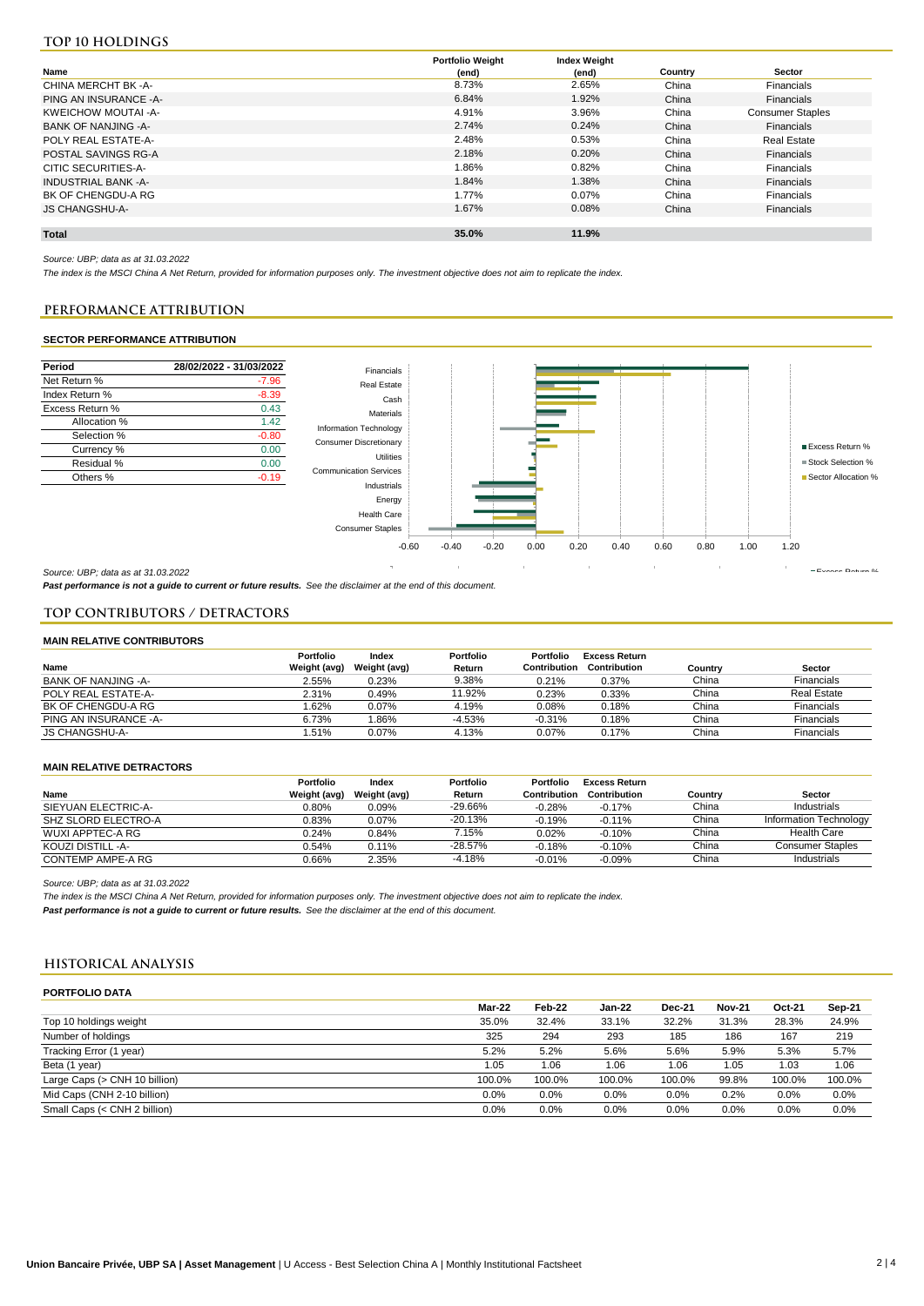## **Top 10 holdings**

|                        | <b>Portfolio Weight</b> | <b>Index Weight</b> |         |                         |
|------------------------|-------------------------|---------------------|---------|-------------------------|
| Name                   | (end)                   | (end)               | Country | <b>Sector</b>           |
| CHINA MERCHT BK -A-    | 8.73%                   | 2.65%               | China   | Financials              |
| PING AN INSURANCE - A- | 6.84%                   | 1.92%               | China   | Financials              |
| KWEICHOW MOUTAI-A-     | 4.91%                   | 3.96%               | China   | <b>Consumer Staples</b> |
| BANK OF NANJING -A-    | 2.74%                   | 0.24%               | China   | Financials              |
| POLY REAL ESTATE-A-    | 2.48%                   | 0.53%               | China   | Real Estate             |
| POSTAL SAVINGS RG-A    | 2.18%                   | 0.20%               | China   | Financials              |
| CITIC SECURITIES-A-    | 1.86%                   | 0.82%               | China   | Financials              |
| INDUSTRIAL BANK -A-    | 1.84%                   | 1.38%               | China   | Financials              |
| BK OF CHENGDU-A RG     | 1.77%                   | 0.07%               | China   | Financials              |
| <b>JS CHANGSHU-A-</b>  | 1.67%                   | 0.08%               | China   | Financials              |
|                        |                         |                     |         |                         |
| <b>Total</b>           | 35.0%                   | 11.9%               |         |                         |

*Source: UBP; data as at 31.03.2022*

*The index is the MSCI China A Net Return, provided for information purposes only. The investment objective does not aim to replicate the index.*

#### **PERFORMANCE ATTRIBUTION PERFORMANCE ATTRIBUTION**

#### SECTOR PERFORMANCE ATTRIBUTION **SECTOR PERFORMANCE ATTRIBUTION**



*Past performance is not a guide to current or future results. See the disclaimer at the end of this document.*

#### **TOP CONTRIBUTORS / DETRACTORS**

#### **MAIN RELATIVE CONTRIBUTORS**

|                       | Portfolio    | Index        | <b>Portfolio</b> | Portfolio    | <b>Excess Return</b> |         |                    |
|-----------------------|--------------|--------------|------------------|--------------|----------------------|---------|--------------------|
| Name                  | Weight (avg) | Weight (avg) | Return           | Contribution | Contribution         | Countrv | Sector             |
| BANK OF NANJING -A-   | 2.55%        | 0.23%        | 9.38%            | 0.21%        | 0.37%                | China   | Financials         |
| POLY REAL ESTATE-A-   | 2.31%        | 0.49%        | 11.92%           | 0.23%        | 0.33%                | China   | <b>Real Estate</b> |
| BK OF CHENGDU-A RG    | .62%         | 0.07%        | 4.19%            | 0.08%        | 0.18%                | China   | Financials         |
| PING AN INSURANCE -A- | 6.73%        | .86%         | $-4.53%$         | $-0.31%$     | 0.18%                | China   | Financials         |
| JS CHANGSHU-A-        | .51%         | 0.07%        | 4.13%            | 0.07%        | 0.17%                | China   | Financials         |

#### **MAIN RELATIVE DETRACTORS**

|                     | <b>Portfolio</b> | Index        | Portfolio | Portfolio    | Excess Return |         |                        |
|---------------------|------------------|--------------|-----------|--------------|---------------|---------|------------------------|
| Name                | Weight (avg)     | Weight (avg) | Return    | Contribution | Contribution  | Country | <b>Sector</b>          |
| SIEYUAN ELECTRIC-A- | 0.80%            | 0.09%        | $-29.66%$ | $-0.28%$     | $-0.17%$      | China   | Industrials            |
| SHZ SLORD ELECTRO-A | 0.83%            | 0.07%        | $-20.13%$ | $-0.19%$     | $-0.11%$      | China   | Information Technology |
| WUXI APPTEC-A RG    | 0.24%            | 0.84%        | 7.15%     | 0.02%        | $-0.10%$      | China   | <b>Health Care</b>     |
| KOUZI DISTILL -A-   | 0.54%            | 0.11%        | $-28.57%$ | $-0.18%$     | $-0.10%$      | China   | Consumer Staples       |
| CONTEMP AMPE-A RG   | 0.66%            | 2.35%        | $-4.18%$  | $-0.01%$     | $-0.09%$      | China   | Industrials            |

*Source: UBP; data as at 31.03.2022*

*The index is the MSCI China A Net Return, provided for information purposes only. The investment objective does not aim to replicate the index. Past performance is not a guide to current or future results. See the disclaimer at the end of this document.*

### **HISTORICAL ANALYSIS**

| <b>PORTFOLIO DATA</b>         |        |        |        |               |               |        |        |
|-------------------------------|--------|--------|--------|---------------|---------------|--------|--------|
|                               | Mar-22 | Feb-22 | Jan-22 | <b>Dec-21</b> | <b>Nov-21</b> | Oct-21 | Sep-21 |
| Top 10 holdings weight        | 35.0%  | 32.4%  | 33.1%  | 32.2%         | 31.3%         | 28.3%  | 24.9%  |
| Number of holdings            | 325    | 294    | 293    | 185           | 186           | 167    | 219    |
| Tracking Error (1 year)       | 5.2%   | 5.2%   | 5.6%   | 5.6%          | 5.9%          | 5.3%   | 5.7%   |
| Beta (1 year)                 | 1.05   | 1.06   | 1.06   | 1.06          | 1.05          | 1.03   | 1.06   |
| Large Caps (> CNH 10 billion) | 100.0% | 100.0% | 100.0% | 100.0%        | 99.8%         | 100.0% | 100.0% |
| Mid Caps (CNH 2-10 billion)   | 0.0%   | 0.0%   | 0.0%   | 0.0%          | 0.2%          | 0.0%   | 0.0%   |
| Small Caps (< CNH 2 billion)  | 0.0%   | 0.0%   | 0.0%   | 0.0%          | 0.0%          | 0.0%   | 0.0%   |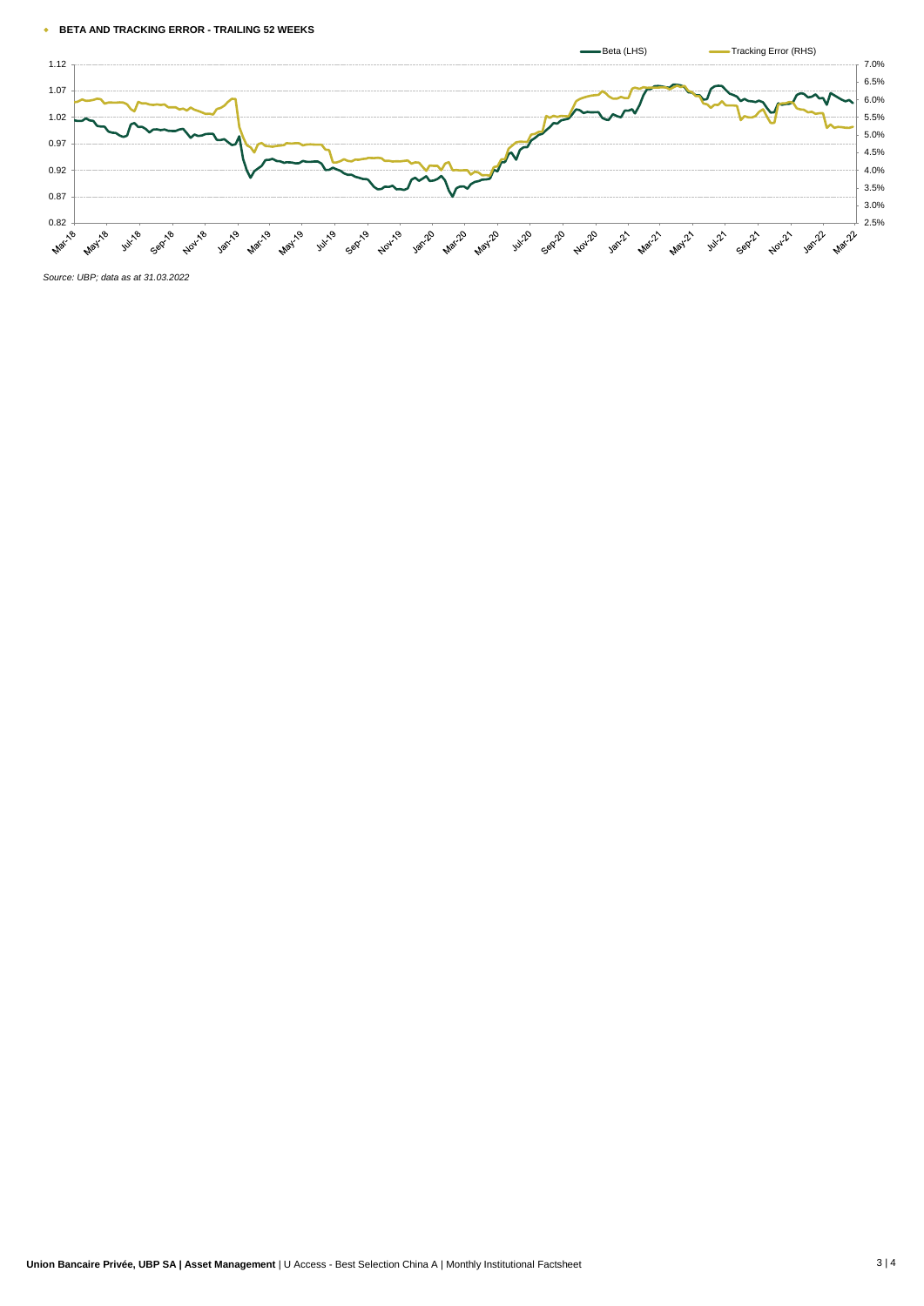#### w **BETA AND TRACKING ERROR - TRAILING 52 WEEKS**



*Source: UBP; data as at 31.03.2022*